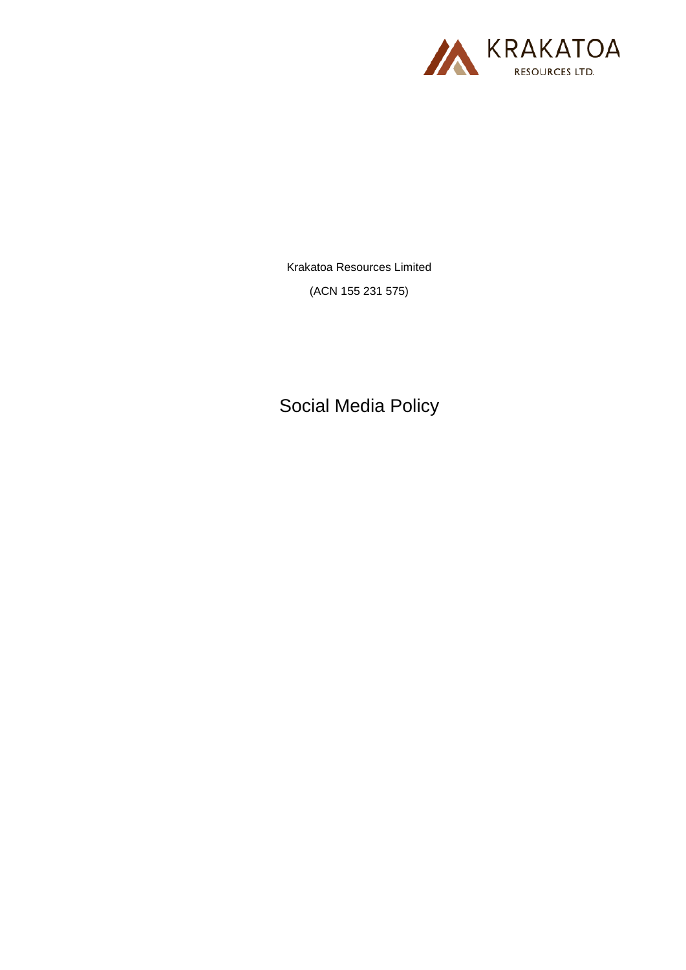

Krakatoa Resources Limited (ACN 155 231 575)

Social Media Policy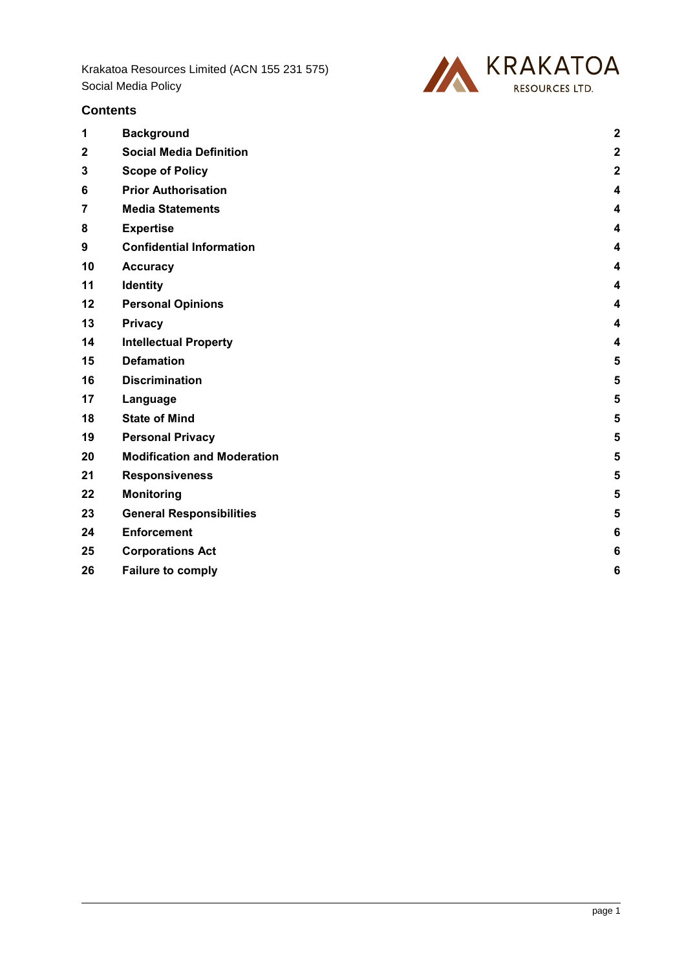

# **Contents**

| 1           | <b>Background</b>                  | $\overline{\mathbf{c}}$ |
|-------------|------------------------------------|-------------------------|
| $\mathbf 2$ | <b>Social Media Definition</b>     | $\overline{2}$          |
| 3           | <b>Scope of Policy</b>             | $\overline{2}$          |
| 6           | <b>Prior Authorisation</b>         | 4                       |
| 7           | <b>Media Statements</b>            | 4                       |
| 8           | <b>Expertise</b>                   | 4                       |
| 9           | <b>Confidential Information</b>    | 4                       |
| 10          | <b>Accuracy</b>                    | 4                       |
| 11          | <b>Identity</b>                    | 4                       |
| 12          | <b>Personal Opinions</b>           | 4                       |
| 13          | <b>Privacy</b>                     | 4                       |
| 14          | <b>Intellectual Property</b>       | 4                       |
| 15          | <b>Defamation</b>                  | 5                       |
| 16          | <b>Discrimination</b>              | 5                       |
| 17          | Language                           | 5                       |
| 18          | <b>State of Mind</b>               | 5                       |
| 19          | <b>Personal Privacy</b>            | 5                       |
| 20          | <b>Modification and Moderation</b> | 5                       |
| 21          | <b>Responsiveness</b>              | 5                       |
| 22          | <b>Monitoring</b>                  | 5                       |
| 23          | <b>General Responsibilities</b>    | 5                       |
| 24          | <b>Enforcement</b>                 | 6                       |
| 25          | <b>Corporations Act</b>            | 6                       |
| 26          | <b>Failure to comply</b>           | 6                       |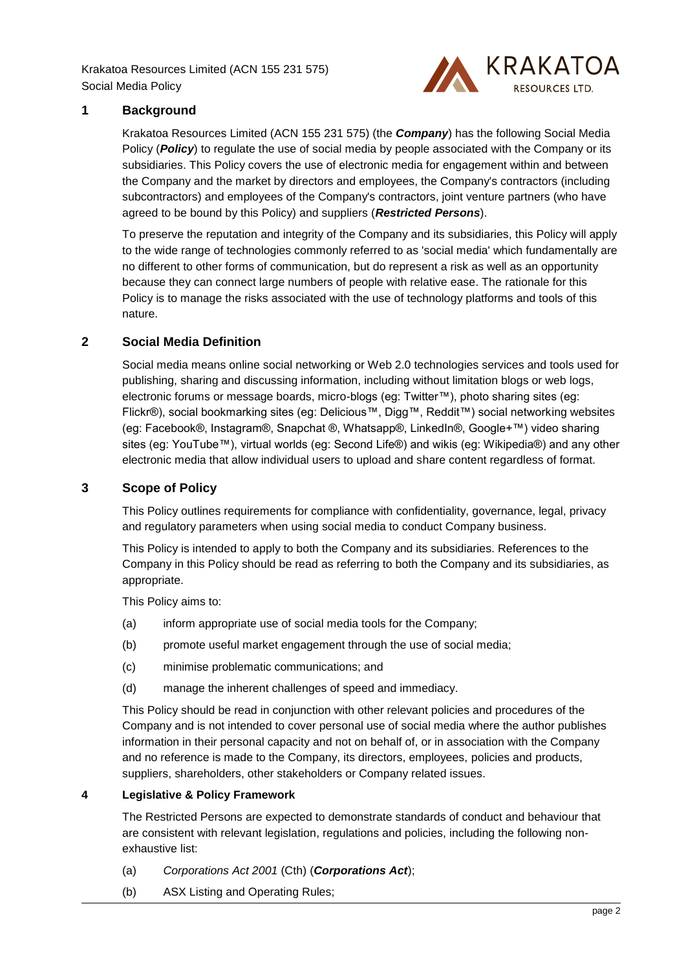

## <span id="page-2-0"></span>**1 Background**

Krakatoa Resources Limited (ACN 155 231 575) (the *Company*) has the following Social Media Policy (**Policy**) to regulate the use of social media by people associated with the Company or its subsidiaries. This Policy covers the use of electronic media for engagement within and between the Company and the market by directors and employees, the Company's contractors (including subcontractors) and employees of the Company's contractors, joint venture partners (who have agreed to be bound by this Policy) and suppliers (*Restricted Persons*).

To preserve the reputation and integrity of the Company and its subsidiaries, this Policy will apply to the wide range of technologies commonly referred to as 'social media' which fundamentally are no different to other forms of communication, but do represent a risk as well as an opportunity because they can connect large numbers of people with relative ease. The rationale for this Policy is to manage the risks associated with the use of technology platforms and tools of this nature.

# <span id="page-2-1"></span>**2 Social Media Definition**

Social media means online social networking or Web 2.0 technologies services and tools used for publishing, sharing and discussing information, including without limitation blogs or web logs, electronic forums or message boards, micro-blogs (eg: Twitter™), photo sharing sites (eg: Flickr®), social bookmarking sites (eg: Delicious™, Digg™, Reddit™) social networking websites (eg: Facebook®, Instagram®, Snapchat ®, Whatsapp®, LinkedIn®, Google+™) video sharing sites (eg: YouTube™), virtual worlds (eg: Second Life®) and wikis (eg: Wikipedia®) and any other electronic media that allow individual users to upload and share content regardless of format.

### <span id="page-2-2"></span>**3 Scope of Policy**

This Policy outlines requirements for compliance with confidentiality, governance, legal, privacy and regulatory parameters when using social media to conduct Company business.

This Policy is intended to apply to both the Company and its subsidiaries. References to the Company in this Policy should be read as referring to both the Company and its subsidiaries, as appropriate.

This Policy aims to:

- (a) inform appropriate use of social media tools for the Company;
- (b) promote useful market engagement through the use of social media;
- (c) minimise problematic communications; and
- (d) manage the inherent challenges of speed and immediacy.

This Policy should be read in conjunction with other relevant policies and procedures of the Company and is not intended to cover personal use of social media where the author publishes information in their personal capacity and not on behalf of, or in association with the Company and no reference is made to the Company, its directors, employees, policies and products, suppliers, shareholders, other stakeholders or Company related issues.

#### **4 Legislative & Policy Framework**

The Restricted Persons are expected to demonstrate standards of conduct and behaviour that are consistent with relevant legislation, regulations and policies, including the following nonexhaustive list:

- (a) *Corporations Act 2001* (Cth) (*Corporations Act*);
- (b) ASX Listing and Operating Rules;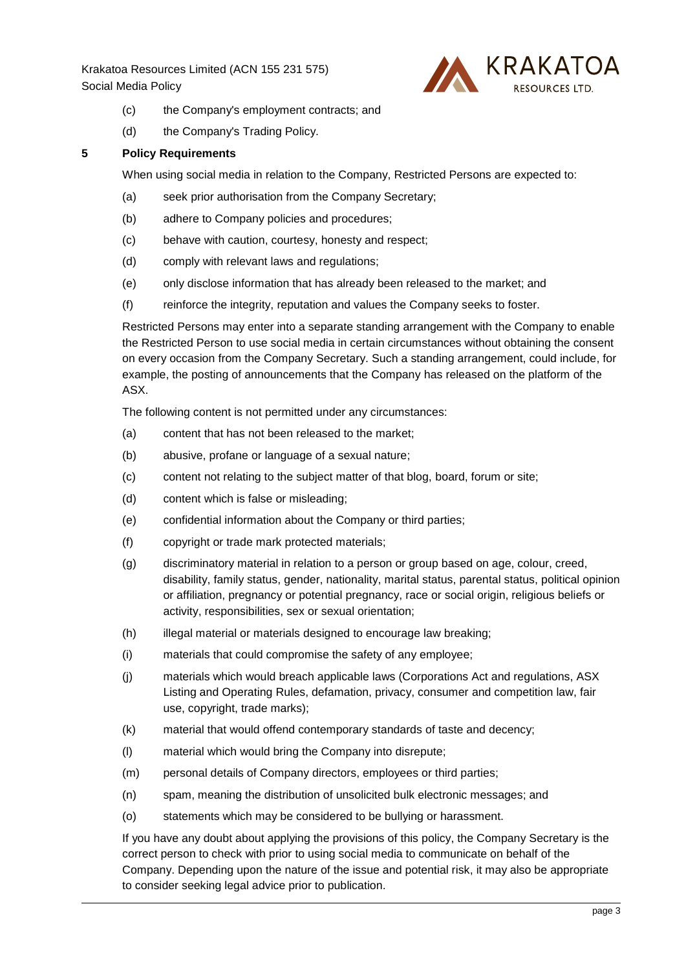

- (c) the Company's employment contracts; and
- (d) the Company's Trading Policy.

#### **5 Policy Requirements**

When using social media in relation to the Company, Restricted Persons are expected to:

- (a) seek prior authorisation from the Company Secretary;
- (b) adhere to Company policies and procedures;
- (c) behave with caution, courtesy, honesty and respect;
- (d) comply with relevant laws and regulations;
- (e) only disclose information that has already been released to the market; and
- (f) reinforce the integrity, reputation and values the Company seeks to foster.

Restricted Persons may enter into a separate standing arrangement with the Company to enable the Restricted Person to use social media in certain circumstances without obtaining the consent on every occasion from the Company Secretary. Such a standing arrangement, could include, for example, the posting of announcements that the Company has released on the platform of the ASX.

The following content is not permitted under any circumstances:

- (a) content that has not been released to the market;
- (b) abusive, profane or language of a sexual nature;
- (c) content not relating to the subject matter of that blog, board, forum or site;
- (d) content which is false or misleading;
- (e) confidential information about the Company or third parties;
- (f) copyright or trade mark protected materials;
- (g) discriminatory material in relation to a person or group based on age, colour, creed, disability, family status, gender, nationality, marital status, parental status, political opinion or affiliation, pregnancy or potential pregnancy, race or social origin, religious beliefs or activity, responsibilities, sex or sexual orientation;
- (h) illegal material or materials designed to encourage law breaking;
- (i) materials that could compromise the safety of any employee;
- (j) materials which would breach applicable laws (Corporations Act and regulations, ASX Listing and Operating Rules, defamation, privacy, consumer and competition law, fair use, copyright, trade marks);
- (k) material that would offend contemporary standards of taste and decency;
- (l) material which would bring the Company into disrepute;
- (m) personal details of Company directors, employees or third parties;
- (n) spam, meaning the distribution of unsolicited bulk electronic messages; and
- (o) statements which may be considered to be bullying or harassment.

If you have any doubt about applying the provisions of this policy, the Company Secretary is the correct person to check with prior to using social media to communicate on behalf of the Company. Depending upon the nature of the issue and potential risk, it may also be appropriate to consider seeking legal advice prior to publication.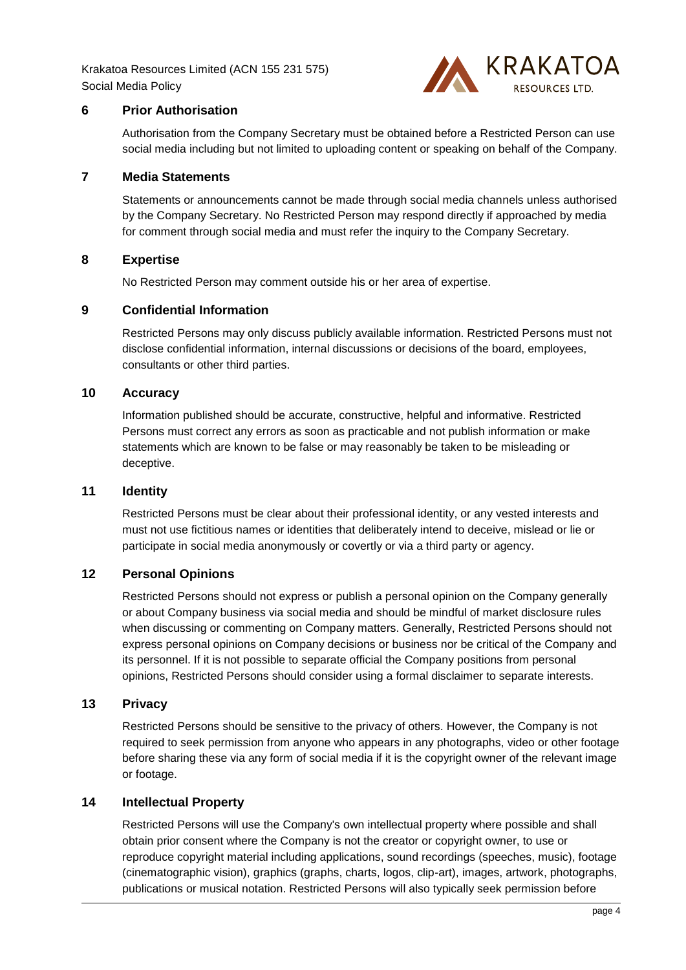

# <span id="page-4-0"></span>**6 Prior Authorisation**

Authorisation from the Company Secretary must be obtained before a Restricted Person can use social media including but not limited to uploading content or speaking on behalf of the Company.

### <span id="page-4-1"></span>**7 Media Statements**

Statements or announcements cannot be made through social media channels unless authorised by the Company Secretary. No Restricted Person may respond directly if approached by media for comment through social media and must refer the inquiry to the Company Secretary.

## <span id="page-4-2"></span>**8 Expertise**

No Restricted Person may comment outside his or her area of expertise.

## <span id="page-4-3"></span>**9 Confidential Information**

Restricted Persons may only discuss publicly available information. Restricted Persons must not disclose confidential information, internal discussions or decisions of the board, employees, consultants or other third parties.

#### <span id="page-4-4"></span>**10 Accuracy**

Information published should be accurate, constructive, helpful and informative. Restricted Persons must correct any errors as soon as practicable and not publish information or make statements which are known to be false or may reasonably be taken to be misleading or deceptive.

## <span id="page-4-5"></span>**11 Identity**

Restricted Persons must be clear about their professional identity, or any vested interests and must not use fictitious names or identities that deliberately intend to deceive, mislead or lie or participate in social media anonymously or covertly or via a third party or agency.

# <span id="page-4-6"></span>**12 Personal Opinions**

Restricted Persons should not express or publish a personal opinion on the Company generally or about Company business via social media and should be mindful of market disclosure rules when discussing or commenting on Company matters. Generally, Restricted Persons should not express personal opinions on Company decisions or business nor be critical of the Company and its personnel. If it is not possible to separate official the Company positions from personal opinions, Restricted Persons should consider using a formal disclaimer to separate interests.

# <span id="page-4-7"></span>**13 Privacy**

Restricted Persons should be sensitive to the privacy of others. However, the Company is not required to seek permission from anyone who appears in any photographs, video or other footage before sharing these via any form of social media if it is the copyright owner of the relevant image or footage.

## <span id="page-4-8"></span>**14 Intellectual Property**

Restricted Persons will use the Company's own intellectual property where possible and shall obtain prior consent where the Company is not the creator or copyright owner, to use or reproduce copyright material including applications, sound recordings (speeches, music), footage (cinematographic vision), graphics (graphs, charts, logos, clip-art), images, artwork, photographs, publications or musical notation. Restricted Persons will also typically seek permission before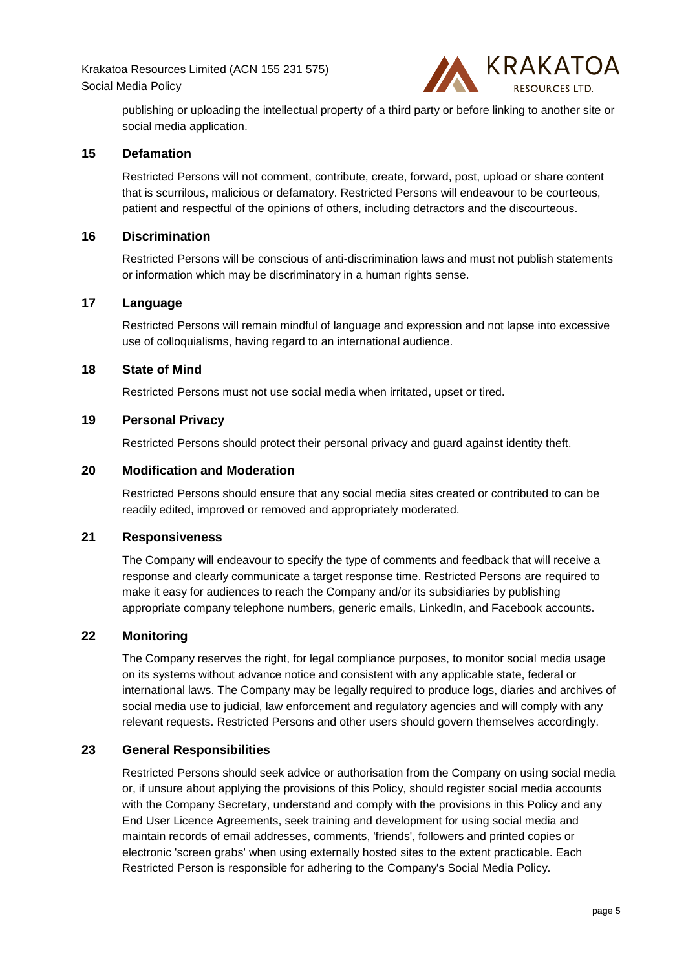

publishing or uploading the intellectual property of a third party or before linking to another site or social media application.

# <span id="page-5-0"></span>**15 Defamation**

Restricted Persons will not comment, contribute, create, forward, post, upload or share content that is scurrilous, malicious or defamatory. Restricted Persons will endeavour to be courteous, patient and respectful of the opinions of others, including detractors and the discourteous.

#### <span id="page-5-1"></span>**16 Discrimination**

Restricted Persons will be conscious of anti-discrimination laws and must not publish statements or information which may be discriminatory in a human rights sense.

## <span id="page-5-2"></span>**17 Language**

Restricted Persons will remain mindful of language and expression and not lapse into excessive use of colloquialisms, having regard to an international audience.

#### <span id="page-5-3"></span>**18 State of Mind**

Restricted Persons must not use social media when irritated, upset or tired.

#### <span id="page-5-4"></span>**19 Personal Privacy**

Restricted Persons should protect their personal privacy and guard against identity theft.

#### <span id="page-5-5"></span>**20 Modification and Moderation**

Restricted Persons should ensure that any social media sites created or contributed to can be readily edited, improved or removed and appropriately moderated.

# <span id="page-5-6"></span>**21 Responsiveness**

The Company will endeavour to specify the type of comments and feedback that will receive a response and clearly communicate a target response time. Restricted Persons are required to make it easy for audiences to reach the Company and/or its subsidiaries by publishing appropriate company telephone numbers, generic emails, LinkedIn, and Facebook accounts.

#### <span id="page-5-7"></span>**22 Monitoring**

The Company reserves the right, for legal compliance purposes, to monitor social media usage on its systems without advance notice and consistent with any applicable state, federal or international laws. The Company may be legally required to produce logs, diaries and archives of social media use to judicial, law enforcement and regulatory agencies and will comply with any relevant requests. Restricted Persons and other users should govern themselves accordingly.

# <span id="page-5-8"></span>**23 General Responsibilities**

Restricted Persons should seek advice or authorisation from the Company on using social media or, if unsure about applying the provisions of this Policy, should register social media accounts with the Company Secretary, understand and comply with the provisions in this Policy and any End User Licence Agreements, seek training and development for using social media and maintain records of email addresses, comments, 'friends', followers and printed copies or electronic 'screen grabs' when using externally hosted sites to the extent practicable. Each Restricted Person is responsible for adhering to the Company's Social Media Policy.